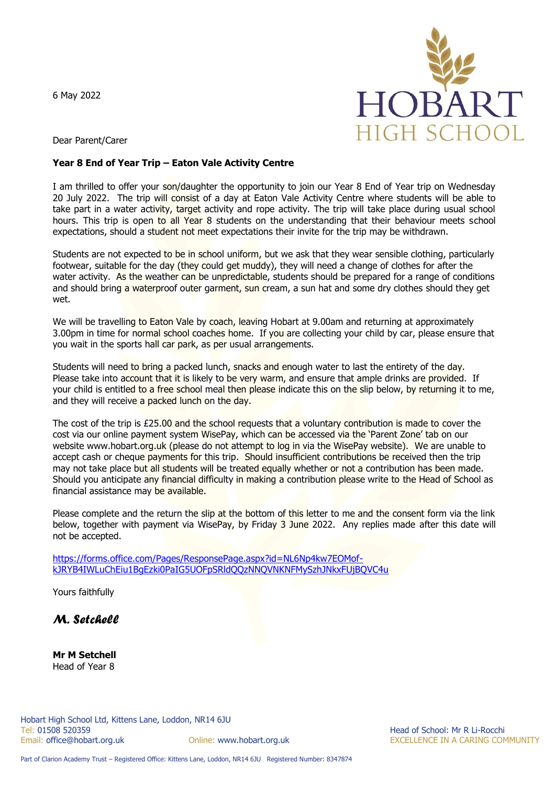6 May 2022



Dear Parent/Carer

## **Year 8 End of Year Trip – Eaton Vale Activity Centre**

I am thrilled to offer your son/daughter the opportunity to join our Year 8 End of Year trip on Wednesday 20 July 2022. The trip will consist of a day at Eaton Vale Activity Centre where students will be able to take part in a water activity, target activity and rope activity. The trip will take place during usual school hours. This trip is open to all Year 8 students on the understanding that their behaviour meets school expectations, should a student not meet expectations their invite for the trip may be withdrawn.

Students are not expected to be in school uniform, but we ask that they wear sensible clothing, particularly footwear, suitable for the day (they could get muddy), they will need a change of clothes for after the water activity. As the weather can be unpredictable, students should be prepared for a range of conditions and should bring a waterproof outer garment, sun cream, a sun hat and some dry clothes should they get wet.

We will be travelling to Eaton Vale by coach, leaving Hobart at 9.00am and returning at approximately 3.00pm in time for normal school coaches home. If you are collecting your child by car, please ensure that you wait in the sports hall car park, as per usual arrangements.

Students will need to bring a packed lunch, snacks and enough water to last the entirety of the day. Please take into account that it is likely to be very warm, and ensure that ample drinks are provided. If your child is entitled to a free school meal then please indicate this on the slip below, by returning it to me, and they will receive a packed lunch on the day.

The cost of the trip is £25.00 and the school requests that a voluntary contribution is made to cover the cost via our online payment system WisePay, which can be accessed via the 'Parent Zone' tab on our website www.hobart.org.uk (please do not attempt to log in via the WisePay website). We are unable to accept cash or cheque payments for this trip. Should insufficient contributions be received then the trip may not take place but all students will be treated equally whether or not a contribution has been made. Should you anticipate any financial difficulty in making a contribution please write to the Head of School as financial assistance may be available.

Please complete and the return the slip at the bottom of this letter to me and the consent form via the link below, together with payment via WisePay, by Friday 3 June 2022. Any replies made after this date will not be accepted.

[https://forms.office.com/Pages/ResponsePage.aspx?id=NL6Np4kw7EOMof](https://forms.office.com/Pages/ResponsePage.aspx?id=NL6Np4kw7EOMof-kJRYB4IWLuChEiu1BgEzki0PaIG5UOFpSRldQQzNNQVNKNFMySzhJNkxFUjBQVC4u)[kJRYB4IWLuChEiu1BgEzki0PaIG5UOFpSRldQQzNNQVNKNFMySzhJNkxFUjBQVC4u](https://forms.office.com/Pages/ResponsePage.aspx?id=NL6Np4kw7EOMof-kJRYB4IWLuChEiu1BgEzki0PaIG5UOFpSRldQQzNNQVNKNFMySzhJNkxFUjBQVC4u)

Yours faithfully

*M. Setchell* 

**Mr M Setchell**  Head of Year 8

Online: www.hobart.org.uk **EXCELLENCE IN A CARING COMMUNITY**